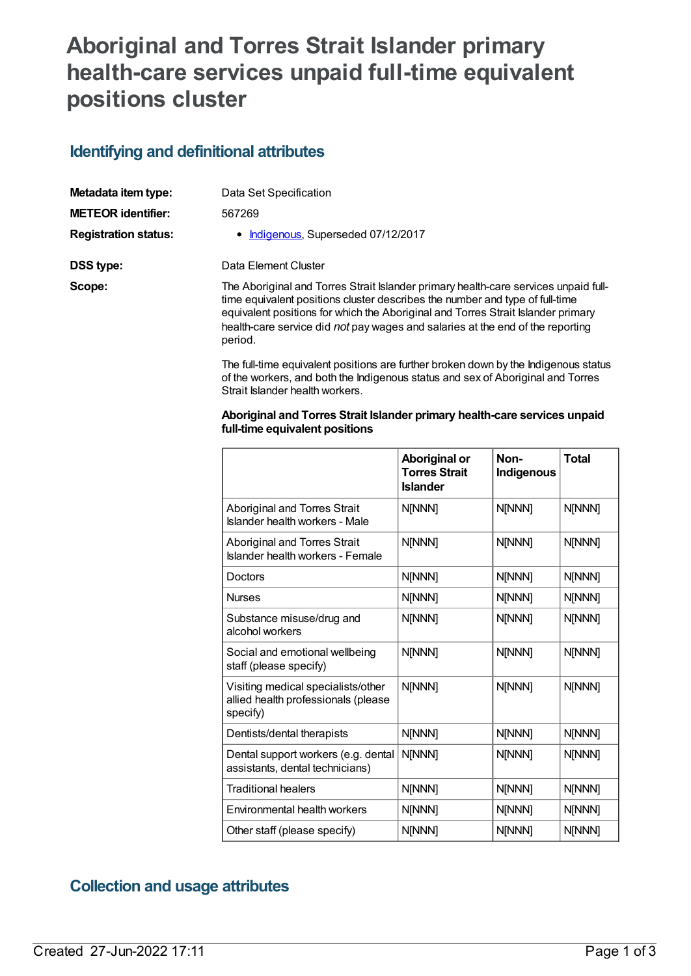## **Aboriginal and Torres Strait Islander primary health-care services unpaid full-time equivalent positions cluster**

## **Identifying and definitional attributes**

| Metadata item type:         | Data Set Specification                                                                                                                                                                                                                                                                                                                               |
|-----------------------------|------------------------------------------------------------------------------------------------------------------------------------------------------------------------------------------------------------------------------------------------------------------------------------------------------------------------------------------------------|
| <b>METEOR identifier:</b>   | 567269                                                                                                                                                                                                                                                                                                                                               |
| <b>Registration status:</b> | • Indigenous, Superseded 07/12/2017                                                                                                                                                                                                                                                                                                                  |
| DSS type:                   | Data Element Cluster                                                                                                                                                                                                                                                                                                                                 |
| Scope:                      | The Aboriginal and Torres Strait Islander primary health-care services unpaid full-<br>time equivalent positions cluster describes the number and type of full-time<br>equivalent positions for which the Aboriginal and Torres Strait Islander primary<br>health-care service did not pay wages and salaries at the end of the reporting<br>period. |

The full-time equivalent positions are further broken down by the Indigenous status of the workers, and both the Indigenous status and sex of Aboriginal and Torres Strait Islander health workers.

## **Aboriginal and Torres Strait Islander primary health-care services unpaid full-time equivalent positions**

|                                                                                       | Aboriginal or<br><b>Torres Strait</b><br><b>Islander</b> | Non-<br><b>Indigenous</b> | <b>Total</b>  |
|---------------------------------------------------------------------------------------|----------------------------------------------------------|---------------------------|---------------|
| Aboriginal and Torres Strait<br>Islander health workers - Male                        | <b>N[NNN]</b>                                            | N[NNN]                    | N[NNN]        |
| Aboriginal and Torres Strait<br>Islander health workers - Female                      | N[NNN]                                                   | N[NNN]                    | N[NNN]        |
| Doctors                                                                               | N[NNN]                                                   | N[NNN]                    | N[NNN]        |
| <b>Nurses</b>                                                                         | N[NNN]                                                   | N[NNN]                    | N[NNN]        |
| Substance misuse/drug and<br>alcohol workers                                          | N[NNN]                                                   | N[NNN]                    | N[NNN]        |
| Social and emotional wellbeing<br>staff (please specify)                              | N[NNN]                                                   | N[NNN]                    | N[NNN]        |
| Visiting medical specialists/other<br>allied health professionals (please<br>specify) | N[NNN]                                                   | N[NNN]                    | N[NNN]        |
| Dentists/dental therapists                                                            | N[NNN]                                                   | N[NNN]                    | N[NNN]        |
| Dental support workers (e.g. dental<br>assistants, dental technicians)                | N[NNN]                                                   | N[NNN]                    | N[NNN]        |
| <b>Traditional healers</b>                                                            | N[NNN]                                                   | N[NNN]                    | <b>N[NNN]</b> |
| Environmental health workers                                                          | N[NNN]                                                   | N[NNN]                    | N[NNN]        |
| Other staff (please specify)                                                          | N[NNN]                                                   | N[NNN]                    | N[NNN]        |

## **Collection and usage attributes**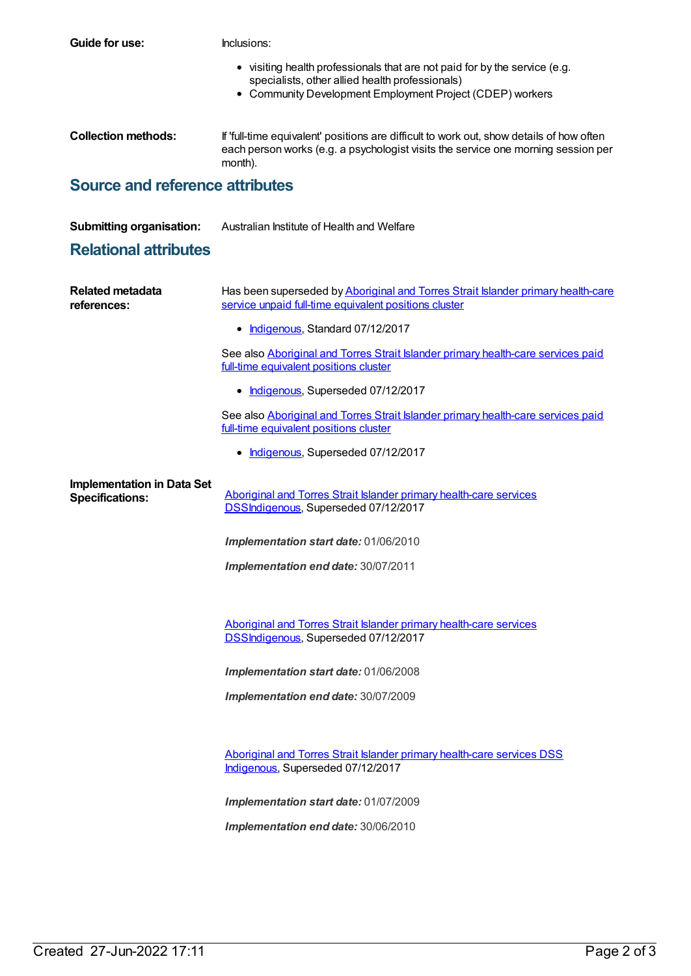| Guide for use:                                              | Inclusions:                                                                                                                                                                                |
|-------------------------------------------------------------|--------------------------------------------------------------------------------------------------------------------------------------------------------------------------------------------|
|                                                             | • visiting health professionals that are not paid for by the service (e.g.<br>specialists, other allied health professionals)<br>• Community Development Employment Project (CDEP) workers |
| <b>Collection methods:</b>                                  | If 'full-time equivalent' positions are difficult to work out, show details of how often<br>each person works (e.g. a psychologist visits the service one morning session per<br>month).   |
| <b>Source and reference attributes</b>                      |                                                                                                                                                                                            |
| <b>Submitting organisation:</b>                             | Australian Institute of Health and Welfare                                                                                                                                                 |
| <b>Relational attributes</b>                                |                                                                                                                                                                                            |
| <b>Related metadata</b><br>references:                      | Has been superseded by Aboriginal and Torres Strait Islander primary health-care<br>service unpaid full-time equivalent positions cluster                                                  |
|                                                             | • Indigenous, Standard 07/12/2017                                                                                                                                                          |
|                                                             | See also Aboriginal and Torres Strait Islander primary health-care services paid<br>full-time equivalent positions cluster                                                                 |
|                                                             | Indigenous, Superseded 07/12/2017                                                                                                                                                          |
|                                                             | See also Aboriginal and Torres Strait Islander primary health-care services paid<br>full-time equivalent positions cluster                                                                 |
|                                                             | Indigenous, Superseded 07/12/2017                                                                                                                                                          |
| <b>Implementation in Data Set</b><br><b>Specifications:</b> | Aboriginal and Torres Strait Islander primary health-care services<br>DSSIndigenous, Superseded 07/12/2017                                                                                 |
|                                                             | Implementation start date: 01/06/2010                                                                                                                                                      |
|                                                             | Implementation end date: 30/07/2011                                                                                                                                                        |
|                                                             |                                                                                                                                                                                            |
|                                                             | Aboriginal and Torres Strait Islander primary health-care services<br>DSSIndigenous, Superseded 07/12/2017                                                                                 |
|                                                             | Implementation start date: 01/06/2008                                                                                                                                                      |
|                                                             | Implementation end date: 30/07/2009                                                                                                                                                        |
|                                                             |                                                                                                                                                                                            |

Aboriginal and Torres Strait Islander primary [health-care](https://meteor.aihw.gov.au/content/664859) services DSS [Indigenous](https://meteor.aihw.gov.au/RegistrationAuthority/6), Superseded 07/12/2017

*Implementation start date:* 01/07/2009

*Implementation end date:* 30/06/2010